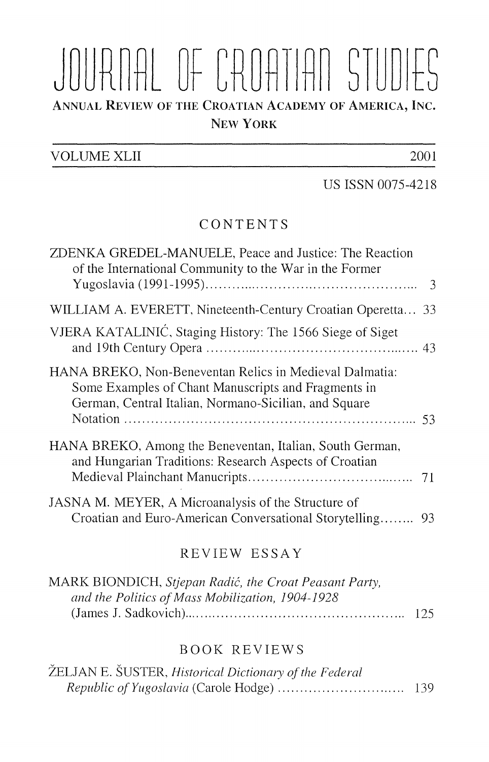# JOURNAL OF CROATIAN STUDIES ANNUAL REVIEW OF THE CROATIAN ACADEMY OF AMERICA, INC. NEW YORK

## VOLUME XLII 2001

US ISSN 0075-4218

# CONTENTS

| ZDENKA GREDEL-MANUELE, Peace and Justice: The Reaction<br>of the International Community to the War in the Former                                                       |  |
|-------------------------------------------------------------------------------------------------------------------------------------------------------------------------|--|
| WILLIAM A. EVERETT, Nineteenth-Century Croatian Operetta 33                                                                                                             |  |
| VJERA KATALINIĆ, Staging History: The 1566 Siege of Siget                                                                                                               |  |
| HANA BREKO, Non-Beneventan Relics in Medieval Dalmatia:<br>Some Examples of Chant Manuscripts and Fragments in<br>German, Central Italian, Normano-Sicilian, and Square |  |
| HANA BREKO, Among the Beneventan, Italian, South German,<br>and Hungarian Traditions: Research Aspects of Croatian                                                      |  |
| JASNA M. MEYER, A Microanalysis of the Structure of                                                                                                                     |  |

#### REVIEW ESSAY

| MARK BIONDICH, Stjepan Radić, the Croat Peasant Party, |      |
|--------------------------------------------------------|------|
| and the Politics of Mass Mobilization, 1904-1928       |      |
|                                                        | -125 |

### BOOK REVIEWS

| ŽELJAN E. ŠUSTER, Historical Dictionary of the Federal |      |
|--------------------------------------------------------|------|
|                                                        | -139 |